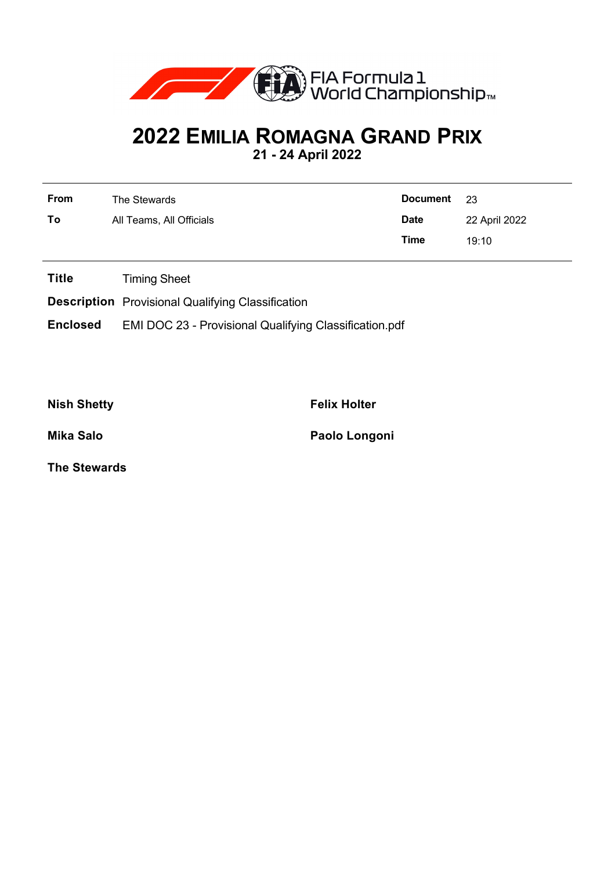

## **2022 EMILIA ROMAGNA GRAND PRIX**

**21 - 24 April 2022**

| From | The Stewards             | Document 23 |               |
|------|--------------------------|-------------|---------------|
| To   | All Teams, All Officials | <b>Date</b> | 22 April 2022 |
|      |                          | Time        | 19:10         |

**Title** Timing Sheet

**Description** Provisional Qualifying Classification

**Enclosed** EMI DOC 23 - Provisional Qualifying Classification.pdf

**Nish Shetty Felix Holter** 

**Mika Salo Paolo Longoni**

**The Stewards**